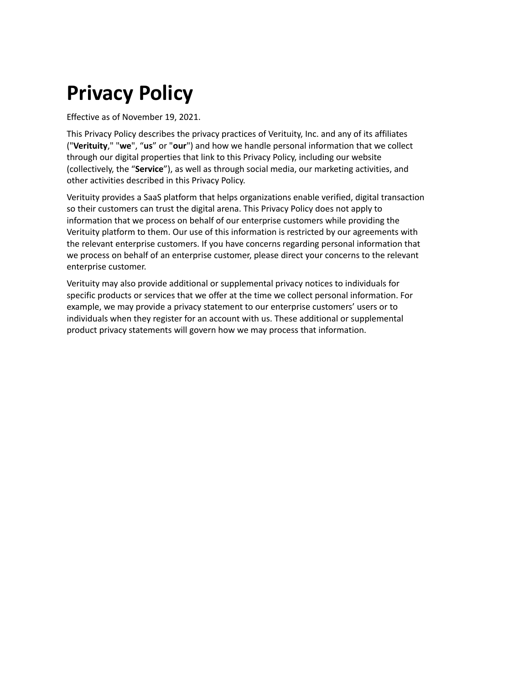# **Privacy Policy**

Effective as of November 19, 2021.

This Privacy Policy describes the privacy practices of Verituity, Inc. and any of its affiliates ("**Verituity**," "**we**", "**us**" or "**our**") and how we handle personal information that we collect through our digital properties that link to this Privacy Policy, including our website (collectively, the "**Service**"), as well as through social media, our marketing activities, and other activities described in this Privacy Policy.

Verituity provides a SaaS platform that helps organizations enable verified, digital transaction so their customers can trust the digital arena. This Privacy Policy does not apply to information that we process on behalf of our enterprise customers while providing the Verituity platform to them. Our use of this information is restricted by our agreements with the relevant enterprise customers. If you have concerns regarding personal information that we process on behalf of an enterprise customer, please direct your concerns to the relevant enterprise customer.

Verituity may also provide additional or supplemental privacy notices to individuals for specific products or services that we offer at the time we collect personal information. For example, we may provide a privacy statement to our enterprise customers' users or to individuals when they register for an account with us. These additional or supplemental product privacy statements will govern how we may process that information.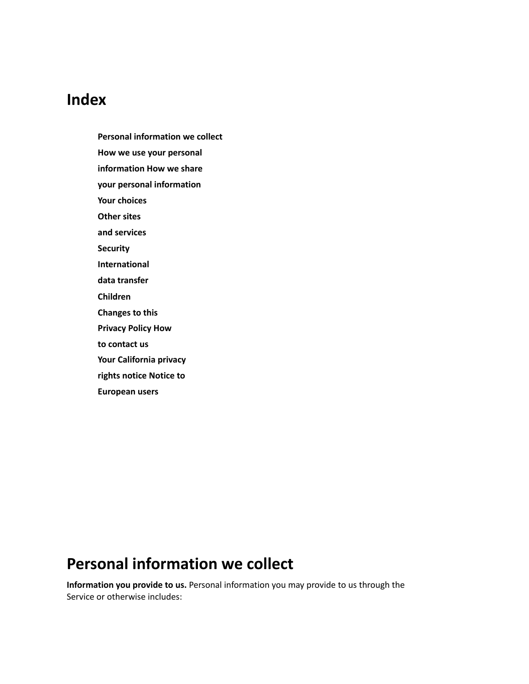### **Index**

- **Personal information we collect**
- **How we use your personal**
- **information How we share**
- **your personal information**
- **Your choices**
- **Other sites**
- **and services**
- **Security**
- **International**
- **data transfer**
- **Children**
- **Changes to this**
- **Privacy Policy How**
- **to contact us**
- **Your California privacy**
- **rights notice Notice to**
- **European users**

### **Personal information we collect**

**Information you provide to us.** Personal information you may provide to us through the Service or otherwise includes: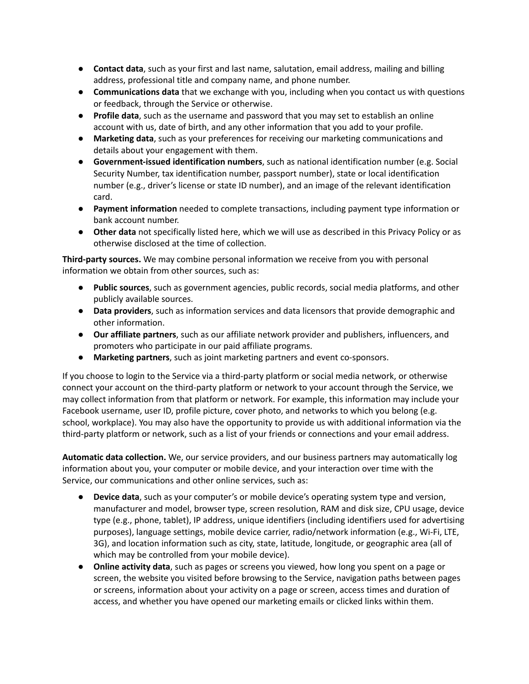- **Contact data**, such as your first and last name, salutation, email address, mailing and billing address, professional title and company name, and phone number.
- **Communications data** that we exchange with you, including when you contact us with questions or feedback, through the Service or otherwise.
- **Profile data**, such as the username and password that you may set to establish an online account with us, date of birth, and any other information that you add to your profile.
- **Marketing data**, such as your preferences for receiving our marketing communications and details about your engagement with them.
- **Government-issued identification numbers**, such as national identification number (e.g. Social Security Number, tax identification number, passport number), state or local identification number (e.g., driver's license or state ID number), and an image of the relevant identification card.
- **Payment information** needed to complete transactions, including payment type information or bank account number.
- **Other data** not specifically listed here, which we will use as described in this Privacy Policy or as otherwise disclosed at the time of collection.

**Third-party sources.** We may combine personal information we receive from you with personal information we obtain from other sources, such as:

- **Public sources**, such as government agencies, public records, social media platforms, and other publicly available sources.
- **Data providers**, such as information services and data licensors that provide demographic and other information.
- **Our affiliate partners**, such as our affiliate network provider and publishers, influencers, and promoters who participate in our paid affiliate programs.
- **Marketing partners**, such as joint marketing partners and event co-sponsors.

If you choose to login to the Service via a third-party platform or social media network, or otherwise connect your account on the third-party platform or network to your account through the Service, we may collect information from that platform or network. For example, this information may include your Facebook username, user ID, profile picture, cover photo, and networks to which you belong (e.g. school, workplace). You may also have the opportunity to provide us with additional information via the third-party platform or network, such as a list of your friends or connections and your email address.

**Automatic data collection.** We, our service providers, and our business partners may automatically log information about you, your computer or mobile device, and your interaction over time with the Service, our communications and other online services, such as:

- **Device data**, such as your computer's or mobile device's operating system type and version, manufacturer and model, browser type, screen resolution, RAM and disk size, CPU usage, device type (e.g., phone, tablet), IP address, unique identifiers (including identifiers used for advertising purposes), language settings, mobile device carrier, radio/network information (e.g., Wi-Fi, LTE, 3G), and location information such as city, state, latitude, longitude, or geographic area (all of which may be controlled from your mobile device).
- **Online activity data**, such as pages or screens you viewed, how long you spent on a page or screen, the website you visited before browsing to the Service, navigation paths between pages or screens, information about your activity on a page or screen, access times and duration of access, and whether you have opened our marketing emails or clicked links within them.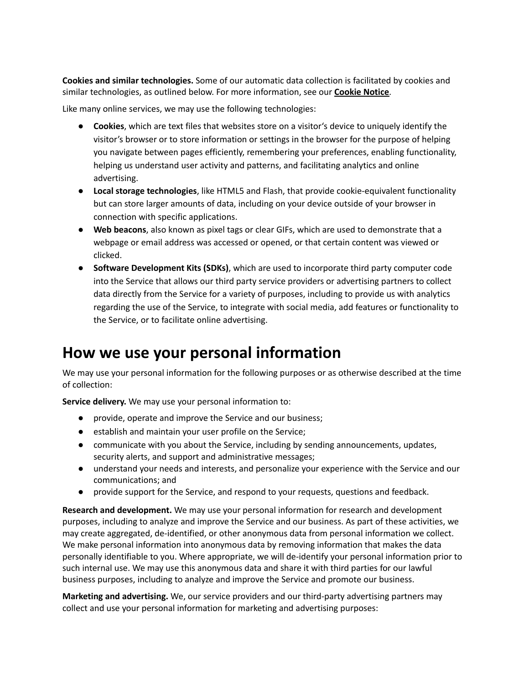**Cookies and similar technologies.** Some of our automatic data collection is facilitated by cookies and similar technologies, as outlined below. For more information, see our **Cookie Notice**.

Like many online services, we may use the following technologies:

- **Cookies**, which are text files that websites store on a visitor's device to uniquely identify the visitor's browser or to store information or settings in the browser for the purpose of helping you navigate between pages efficiently, remembering your preferences, enabling functionality, helping us understand user activity and patterns, and facilitating analytics and online advertising.
- **Local storage technologies**, like HTML5 and Flash, that provide cookie-equivalent functionality but can store larger amounts of data, including on your device outside of your browser in connection with specific applications.
- **Web beacons**, also known as pixel tags or clear GIFs, which are used to demonstrate that a webpage or email address was accessed or opened, or that certain content was viewed or clicked.
- **Software Development Kits (SDKs)**, which are used to incorporate third party computer code into the Service that allows our third party service providers or advertising partners to collect data directly from the Service for a variety of purposes, including to provide us with analytics regarding the use of the Service, to integrate with social media, add features or functionality to the Service, or to facilitate online advertising.

### **How we use your personal information**

We may use your personal information for the following purposes or as otherwise described at the time of collection:

**Service delivery.** We may use your personal information to:

- provide, operate and improve the Service and our business;
- establish and maintain your user profile on the Service;
- communicate with you about the Service, including by sending announcements, updates, security alerts, and support and administrative messages;
- understand your needs and interests, and personalize your experience with the Service and our communications; and
- provide support for the Service, and respond to your requests, questions and feedback.

**Research and development.** We may use your personal information for research and development purposes, including to analyze and improve the Service and our business. As part of these activities, we may create aggregated, de-identified, or other anonymous data from personal information we collect. We make personal information into anonymous data by removing information that makes the data personally identifiable to you. Where appropriate, we will de-identify your personal information prior to such internal use. We may use this anonymous data and share it with third parties for our lawful business purposes, including to analyze and improve the Service and promote our business.

**Marketing and advertising.** We, our service providers and our third-party advertising partners may collect and use your personal information for marketing and advertising purposes: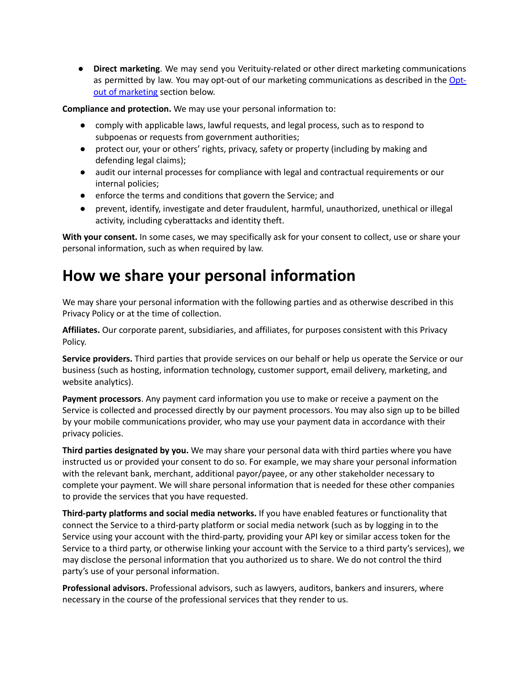● **Direct marketing**. We may send you Verituity-related or other direct marketing communications as permitted by law. You may opt-out of our marketing communications as described in the Optout of marketing section below.

**Compliance and protection.** We may use your personal information to:

- comply with applicable laws, lawful requests, and legal process, such as to respond to subpoenas or requests from government authorities;
- protect our, your or others' rights, privacy, safety or property (including by making and defending legal claims);
- audit our internal processes for compliance with legal and contractual requirements or our internal policies;
- enforce the terms and conditions that govern the Service; and
- prevent, identify, investigate and deter fraudulent, harmful, unauthorized, unethical or illegal activity, including cyberattacks and identity theft.

**With your consent.** In some cases, we may specifically ask for your consent to collect, use or share your personal information, such as when required by law.

### **How we share your personal information**

We may share your personal information with the following parties and as otherwise described in this Privacy Policy or at the time of collection.

**Affiliates.** Our corporate parent, subsidiaries, and affiliates, for purposes consistent with this Privacy Policy.

**Service providers.** Third parties that provide services on our behalf or help us operate the Service or our business (such as hosting, information technology, customer support, email delivery, marketing, and website analytics).

**Payment processors**. Any payment card information you use to make or receive a payment on the Service is collected and processed directly by our payment processors. You may also sign up to be billed by your mobile communications provider, who may use your payment data in accordance with their privacy policies.

**Third parties designated by you.** We may share your personal data with third parties where you have instructed us or provided your consent to do so. For example, we may share your personal information with the relevant bank, merchant, additional payor/payee, or any other stakeholder necessary to complete your payment. We will share personal information that is needed for these other companies to provide the services that you have requested.

**Third-party platforms and social media networks.** If you have enabled features or functionality that connect the Service to a third-party platform or social media network (such as by logging in to the Service using your account with the third-party, providing your API key or similar access token for the Service to a third party, or otherwise linking your account with the Service to a third party's services), we may disclose the personal information that you authorized us to share. We do not control the third party's use of your personal information.

**Professional advisors.** Professional advisors, such as lawyers, auditors, bankers and insurers, where necessary in the course of the professional services that they render to us.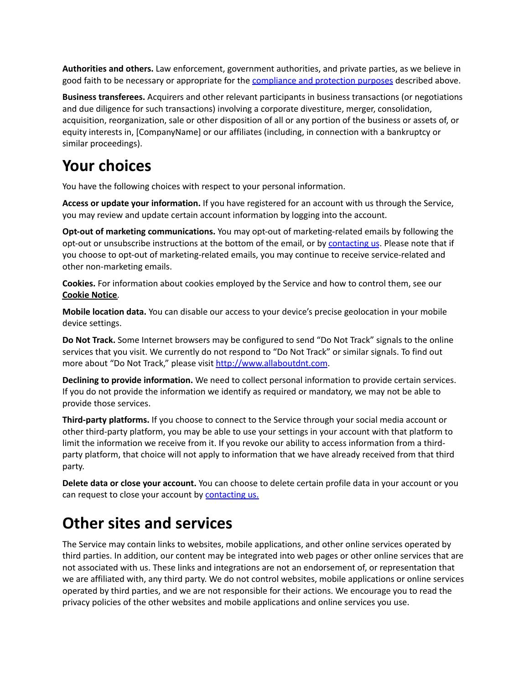**Authorities and others.** Law enforcement, government authorities, and private parties, as we believe in good faith to be necessary or appropriate for the compliance and protection purposes described above.

**Business transferees.** Acquirers and other relevant participants in business transactions (or negotiations and due diligence for such transactions) involving a corporate divestiture, merger, consolidation, acquisition, reorganization, sale or other disposition of all or any portion of the business or assets of, or equity interests in, [CompanyName] or our affiliates (including, in connection with a bankruptcy or similar proceedings).

### **Your choices**

You have the following choices with respect to your personal information.

**Access or update your information.** If you have registered for an account with us through the Service, you may review and update certain account information by logging into the account.

**Opt-out of marketing communications.** You may opt-out of marketing-related emails by following the opt-out or unsubscribe instructions at the bottom of the email, or by contacting us. Please note that if you choose to opt-out of marketing-related emails, you may continue to receive service-related and other non-marketing emails.

**Cookies.** For information about cookies employed by the Service and how to control them, see our **Cookie Notice**.

**Mobile location data.** You can disable our access to your device's precise geolocation in your mobile device settings.

**Do Not Track.** Some Internet browsers may be configured to send "Do Not Track" signals to the online services that you visit. We currently do not respond to "Do Not Track" or similar signals. To find out more about "Do Not Track," please visit [http://www.allaboutdnt.com.](http://www.allaboutdnt.com/)

**Declining to provide information.** We need to collect personal information to provide certain services. If you do not provide the information we identify as required or mandatory, we may not be able to provide those services.

**Third-party platforms.** If you choose to connect to the Service through your social media account or other third-party platform, you may be able to use your settings in your account with that platform to limit the information we receive from it. If you revoke our ability to access information from a thirdparty platform, that choice will not apply to information that we have already received from that third party.

**Delete data or close your account.** You can choose to delete certain profile data in your account or you can request to close your account by contacting us.

### **Other sites and services**

The Service may contain links to websites, mobile applications, and other online services operated by third parties. In addition, our content may be integrated into web pages or other online services that are not associated with us. These links and integrations are not an endorsement of, or representation that we are affiliated with, any third party. We do not control websites, mobile applications or online services operated by third parties, and we are not responsible for their actions. We encourage you to read the privacy policies of the other websites and mobile applications and online services you use.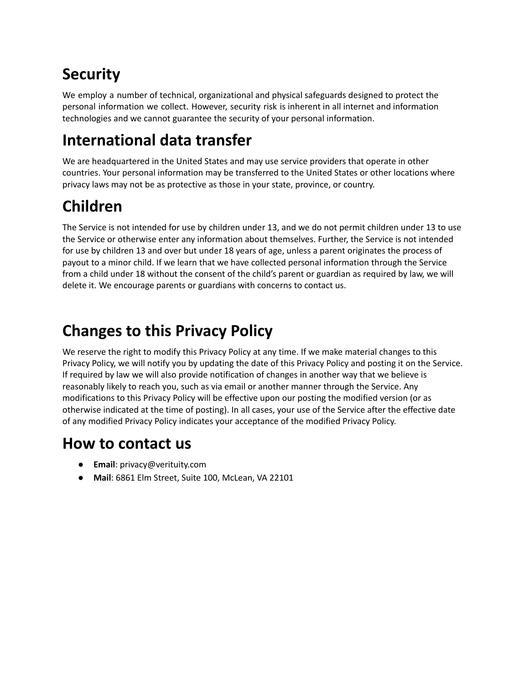# **Security**

We employ a number of technical, organizational and physical safeguards designed to protect the personal information we collect. However, security risk is inherent in all internet and information technologies and we cannot guarantee the security of your personal information.

# **International data transfer**

We are headquartered in the United States and may use service providers that operate in other countries. Your personal information may be transferred to the United States or other locations where privacy laws may not be as protective as those in your state, province, or country.

# **Children**

The Service is not intended for use by children under 13, and we do not permit children under 13 to use the Service or otherwise enter any information about themselves. Further, the Service is not intended for use by children 13 and over but under 18 years of age, unless a parent originates the process of payout to a minor child. If we learn that we have collected personal information through the Service from a child under 18 without the consent of the child's parent or guardian as required by law, we will delete it. We encourage parents or guardians with concerns to contact us.

# **Changes to this Privacy Policy**

We reserve the right to modify this Privacy Policy at any time. If we make material changes to this Privacy Policy, we will notify you by updating the date of this Privacy Policy and posting it on the Service. If required by law we will also provide notification of changes in another way that we believe is reasonably likely to reach you, such as via email or another manner through the Service. Any modifications to this Privacy Policy will be effective upon our posting the modified version (or as otherwise indicated at the time of posting). In all cases, your use of the Service after the effective date of any modified Privacy Policy indicates your acceptance of the modified Privacy Policy.

### **How to contact us**

- **Email**: [privacy@verituity.com](mailto:privacy@verituity.com)
- **Mail**: 6861 Elm Street, Suite 100, McLean, VA 22101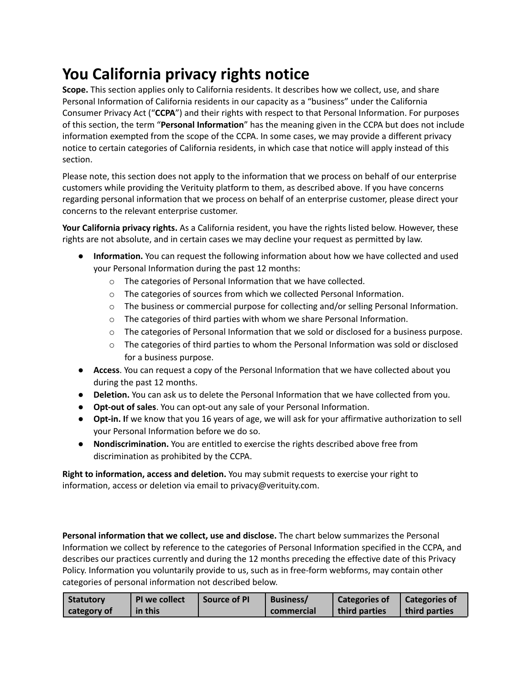## **You California privacy rights notice**

**Scope.** This section applies only to California residents. It describes how we collect, use, and share Personal Information of California residents in our capacity as a "business" under the California Consumer Privacy Act ("**CCPA**") and their rights with respect to that Personal Information. For purposes of this section, the term "**Personal Information**" has the meaning given in the CCPA but does not include information exempted from the scope of the CCPA. In some cases, we may provide a different privacy notice to certain categories of California residents, in which case that notice will apply instead of this section.

Please note, this section does not apply to the information that we process on behalf of our enterprise customers while providing the Verituity platform to them, as described above. If you have concerns regarding personal information that we process on behalf of an enterprise customer, please direct your concerns to the relevant enterprise customer.

**Your California privacy rights.** As a California resident, you have the rights listed below. However, these rights are not absolute, and in certain cases we may decline your request as permitted by law.

- **Information.** You can request the following information about how we have collected and used your Personal Information during the past 12 months:
	- o The categories of Personal Information that we have collected.
	- o The categories of sources from which we collected Personal Information.
	- o The business or commercial purpose for collecting and/or selling Personal Information.
	- o The categories of third parties with whom we share Personal Information.
	- o The categories of Personal Information that we sold or disclosed for a business purpose.
	- o The categories of third parties to whom the Personal Information was sold or disclosed for a business purpose.
- **Access**. You can request a copy of the Personal Information that we have collected about you during the past 12 months.
- **Deletion.** You can ask us to delete the Personal Information that we have collected from you.
- **Opt-out of sales**. You can opt-out any sale of your Personal Information.
- **Opt-in. I**f we know that you 16 years of age, we will ask for your affirmative authorization to sell your Personal Information before we do so.
- **Nondiscrimination.** You are entitled to exercise the rights described above free from discrimination as prohibited by the CCPA.

**Right to information, access and deletion.** You may submit requests to exercise your right to information, access or deletion via email to [privacy@verituity.com.](mailto:privacy@verituity.com)

**Personal information that we collect, use and disclose.** The chart below summarizes the Personal Information we collect by reference to the categories of Personal Information specified in the CCPA, and describes our practices currently and during the 12 months preceding the effective date of this Privacy Policy. Information you voluntarily provide to us, such as in free-form webforms, may contain other categories of personal information not described below.

| <b>Statutory</b> | <b>PI we collect</b> | Source of PI | <b>Business/</b> | <b>Categories of</b> | <b>Categories of</b> |
|------------------|----------------------|--------------|------------------|----------------------|----------------------|
| category of      | in this              |              | commercial       | third parties        | third parties        |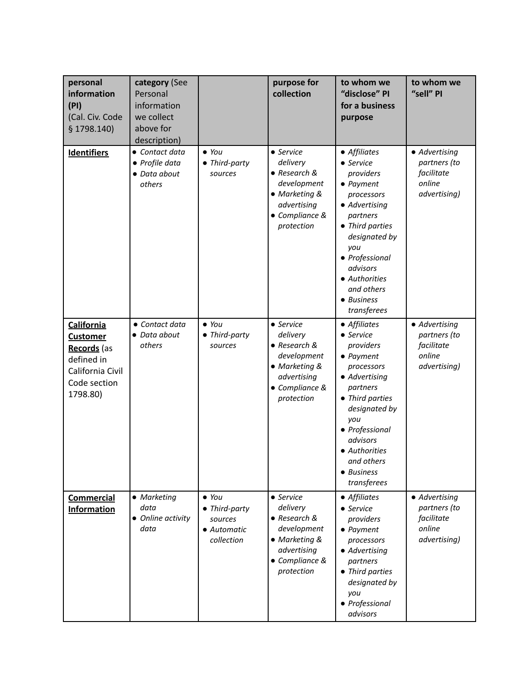| personal<br>information<br>(PI)<br>(Cal. Civ. Code<br>\$1798.140                                                  | category (See<br>Personal<br>information<br>we collect<br>above for<br>description) |                                                                        | purpose for<br>collection                                                                                            | to whom we<br>"disclose" PI<br>for a business<br>purpose                                                                                                                                                                                    | to whom we<br>"sell" PI                                               |
|-------------------------------------------------------------------------------------------------------------------|-------------------------------------------------------------------------------------|------------------------------------------------------------------------|----------------------------------------------------------------------------------------------------------------------|---------------------------------------------------------------------------------------------------------------------------------------------------------------------------------------------------------------------------------------------|-----------------------------------------------------------------------|
| <b>Identifiers</b>                                                                                                | • Contact data<br>• Profile data<br>• Data about<br>others                          | $\bullet$ You<br>• Third-party<br>sources                              | • Service<br>delivery<br>• Research &<br>development<br>• Marketing &<br>advertising<br>• Compliance &<br>protection | • Affiliates<br>• Service<br>providers<br>$\bullet$ Payment<br>processors<br>• Advertising<br>partners<br>• Third parties<br>designated by<br>you<br>• Professional<br>advisors<br>• Authorities<br>and others<br>• Business<br>transferees | • Advertising<br>partners (to<br>facilitate<br>online<br>advertising) |
| <b>California</b><br><b>Customer</b><br>Records (as<br>defined in<br>California Civil<br>Code section<br>1798.80) | • Contact data<br>• Data about<br>others                                            | $\bullet$ You<br>• Third-party<br>sources                              | • Service<br>delivery<br>• Research &<br>development<br>• Marketing &<br>advertising<br>• Compliance &<br>protection | • Affiliates<br>• Service<br>providers<br>$\bullet$ Payment<br>processors<br>• Advertising<br>partners<br>• Third parties<br>designated by<br>you<br>• Professional<br>advisors<br>• Authorities<br>and others<br>• Business<br>transferees | • Advertising<br>partners (to<br>facilitate<br>online<br>advertising) |
| <b>Commercial</b><br><b>Information</b>                                                                           | • Marketing<br>data<br>• Online activity<br>data                                    | $\bullet$ You<br>• Third-party<br>sources<br>• Automatic<br>collection | • Service<br>delivery<br>• Research &<br>development<br>• Marketing &<br>advertising<br>• Compliance &<br>protection | • Affiliates<br>• Service<br>providers<br>$\bullet$ Payment<br>processors<br>• Advertising<br>partners<br>• Third parties<br>designated by<br>you<br>• Professional<br>advisors                                                             | • Advertising<br>partners (to<br>facilitate<br>online<br>advertising) |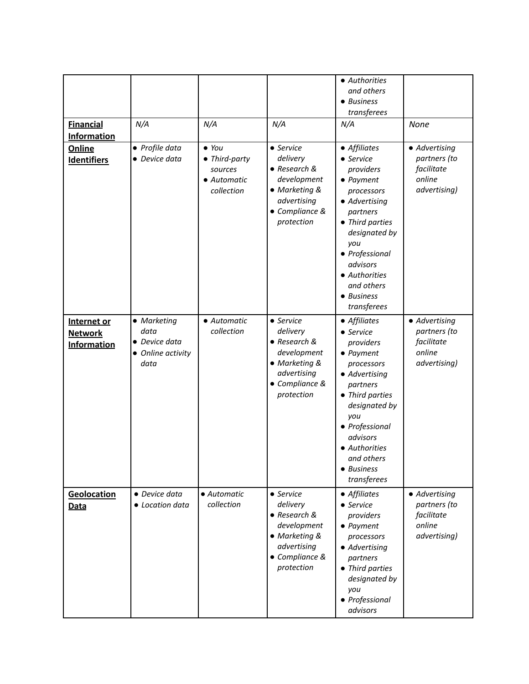|                                                     |                                                                   |                                                                        |                                                                                                                      | • Authorities<br>and others<br>• Business<br>transferees                                                                                                                                                                                    |                                                                       |
|-----------------------------------------------------|-------------------------------------------------------------------|------------------------------------------------------------------------|----------------------------------------------------------------------------------------------------------------------|---------------------------------------------------------------------------------------------------------------------------------------------------------------------------------------------------------------------------------------------|-----------------------------------------------------------------------|
| <b>Financial</b><br><b>Information</b>              | N/A                                                               | N/A                                                                    | N/A                                                                                                                  | N/A                                                                                                                                                                                                                                         | None                                                                  |
| Online<br><b>Identifiers</b>                        | · Profile data<br>• Device data                                   | $\bullet$ You<br>• Third-party<br>sources<br>• Automatic<br>collection | • Service<br>delivery<br>• Research &<br>development<br>• Marketing &<br>advertising<br>• Compliance &<br>protection | • Affiliates<br>• Service<br>providers<br>$\bullet$ Payment<br>processors<br>• Advertising<br>partners<br>• Third parties<br>designated by<br>you<br>• Professional<br>advisors<br>· Authorities<br>and others<br>• Business<br>transferees | • Advertising<br>partners (to<br>facilitate<br>online<br>advertising) |
| Internet or<br><b>Network</b><br><b>Information</b> | • Marketing<br>data<br>• Device data<br>• Online activity<br>data | • Automatic<br>collection                                              | • Service<br>delivery<br>• Research &<br>development<br>• Marketing &<br>advertising<br>· Compliance &<br>protection | • Affiliates<br>• Service<br>providers<br>• Payment<br>processors<br>• Advertising<br>partners<br>• Third parties<br>designated by<br>you<br>• Professional<br>advisors<br>• Authorities<br>and others<br>$\bullet$ Business<br>transferees | • Advertising<br>partners (to<br>facilitate<br>online<br>advertising) |
| Geolocation<br><b>Data</b>                          | • Device data<br>• Location data                                  | • Automatic<br>collection                                              | • Service<br>delivery<br>• Research &<br>development<br>• Marketing &<br>advertising<br>• Compliance &<br>protection | • Affiliates<br>• Service<br>providers<br>$\bullet$ Payment<br>processors<br>• Advertising<br>partners<br>• Third parties<br>designated by<br>you<br>· Professional<br>advisors                                                             | • Advertising<br>partners (to<br>facilitate<br>online<br>advertising) |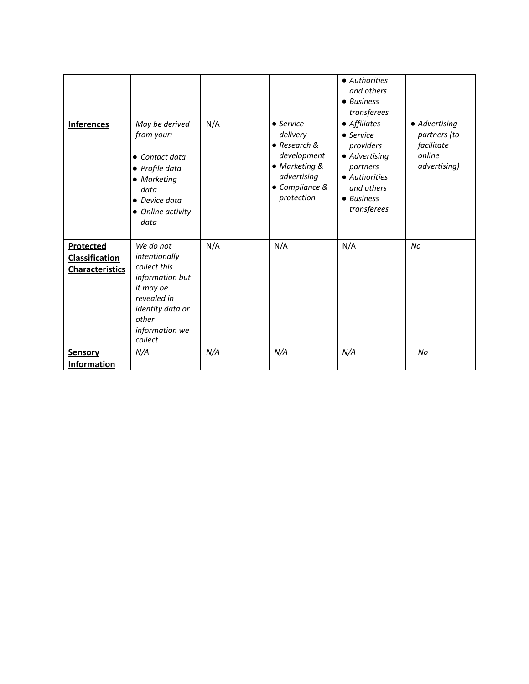| <b>Inferences</b>                                                   | May be derived<br>from your:<br>• Contact data<br>• Profile data<br>• Marketing<br>data<br>• Device data<br>• Online activity<br>data               | N/A | $\bullet$ Service<br>delivery<br>$\bullet$ Research &<br>development<br>• Marketing &<br>advertising<br>• Compliance &<br>protection | • Authorities<br>and others<br>• Business<br>transferees<br>• Affiliates<br>$\bullet$ Service<br>providers<br>• Advertising<br>partners<br>• Authorities<br>and others<br>• Business<br>transferees | • Advertising<br>partners (to<br>facilitate<br>online<br>advertising) |
|---------------------------------------------------------------------|-----------------------------------------------------------------------------------------------------------------------------------------------------|-----|--------------------------------------------------------------------------------------------------------------------------------------|-----------------------------------------------------------------------------------------------------------------------------------------------------------------------------------------------------|-----------------------------------------------------------------------|
| <b>Protected</b><br><b>Classification</b><br><b>Characteristics</b> | We do not<br>intentionally<br>collect this<br>information but<br>it may be<br>revealed in<br>identity data or<br>other<br>information we<br>collect | N/A | N/A                                                                                                                                  | N/A                                                                                                                                                                                                 | <b>No</b>                                                             |
| Sensory<br><b>Information</b>                                       | N/A                                                                                                                                                 | N/A | N/A                                                                                                                                  | N/A                                                                                                                                                                                                 | No                                                                    |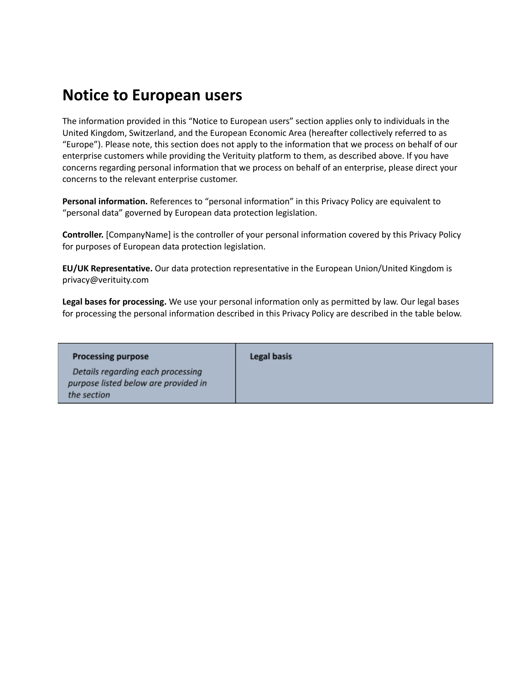### **Notice to European users**

The information provided in this "Notice to European users" section applies only to individuals in the United Kingdom, Switzerland, and the European Economic Area (hereafter collectively referred to as "Europe"). Please note, this section does not apply to the information that we process on behalf of our enterprise customers while providing the Verituity platform to them, as described above. If you have concerns regarding personal information that we process on behalf of an enterprise, please direct your concerns to the relevant enterprise customer.

**Personal information.** References to "personal information" in this Privacy Policy are equivalent to "personal data" governed by European data protection legislation.

**Controller.** [CompanyName] is the controller of your personal information covered by this Privacy Policy for purposes of European data protection legislation.

**EU/UK Representative.** Our data protection representative in the European Union/United Kingdom is [privacy@verituity.com](mailto:privacy@verituity.com)

**Legal bases for processing.** We use your personal information only as permitted by law. Our legal bases for processing the personal information described in this Privacy Policy are described in the table below.

| <b>Processing purpose</b>                                                                | Legal basis |
|------------------------------------------------------------------------------------------|-------------|
| Details regarding each processing<br>purpose listed below are provided in<br>the section |             |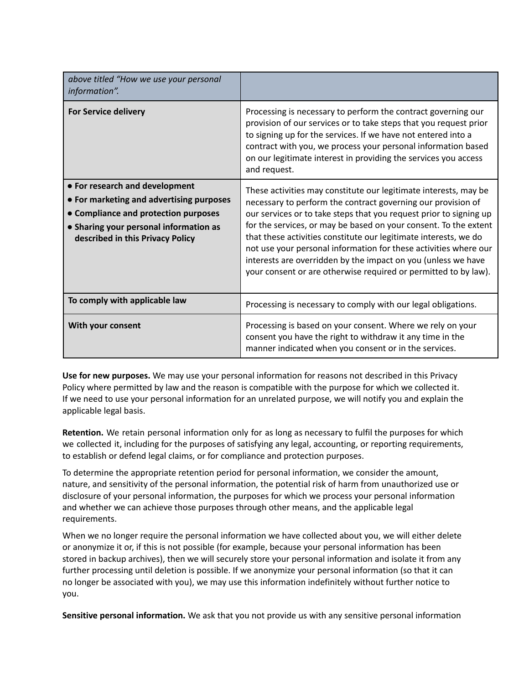| above titled "How we use your personal<br>information".                                                                                                                                          |                                                                                                                                                                                                                                                                                                                                                                                                                                                                                                                                                        |  |
|--------------------------------------------------------------------------------------------------------------------------------------------------------------------------------------------------|--------------------------------------------------------------------------------------------------------------------------------------------------------------------------------------------------------------------------------------------------------------------------------------------------------------------------------------------------------------------------------------------------------------------------------------------------------------------------------------------------------------------------------------------------------|--|
| <b>For Service delivery</b>                                                                                                                                                                      | Processing is necessary to perform the contract governing our<br>provision of our services or to take steps that you request prior<br>to signing up for the services. If we have not entered into a<br>contract with you, we process your personal information based<br>on our legitimate interest in providing the services you access<br>and request.                                                                                                                                                                                                |  |
| • For research and development<br>• For marketing and advertising purposes<br>• Compliance and protection purposes<br>• Sharing your personal information as<br>described in this Privacy Policy | These activities may constitute our legitimate interests, may be<br>necessary to perform the contract governing our provision of<br>our services or to take steps that you request prior to signing up<br>for the services, or may be based on your consent. To the extent<br>that these activities constitute our legitimate interests, we do<br>not use your personal information for these activities where our<br>interests are overridden by the impact on you (unless we have<br>your consent or are otherwise required or permitted to by law). |  |
| To comply with applicable law                                                                                                                                                                    | Processing is necessary to comply with our legal obligations.                                                                                                                                                                                                                                                                                                                                                                                                                                                                                          |  |
| With your consent                                                                                                                                                                                | Processing is based on your consent. Where we rely on your<br>consent you have the right to withdraw it any time in the<br>manner indicated when you consent or in the services.                                                                                                                                                                                                                                                                                                                                                                       |  |

**Use for new purposes.** We may use your personal information for reasons not described in this Privacy Policy where permitted by law and the reason is compatible with the purpose for which we collected it. If we need to use your personal information for an unrelated purpose, we will notify you and explain the applicable legal basis.

**Retention.** We retain personal information only for as long as necessary to fulfil the purposes for which we collected it, including for the purposes of satisfying any legal, accounting, or reporting requirements, to establish or defend legal claims, or for compliance and protection purposes.

To determine the appropriate retention period for personal information, we consider the amount, nature, and sensitivity of the personal information, the potential risk of harm from unauthorized use or disclosure of your personal information, the purposes for which we process your personal information and whether we can achieve those purposes through other means, and the applicable legal requirements.

When we no longer require the personal information we have collected about you, we will either delete or anonymize it or, if this is not possible (for example, because your personal information has been stored in backup archives), then we will securely store your personal information and isolate it from any further processing until deletion is possible. If we anonymize your personal information (so that it can no longer be associated with you), we may use this information indefinitely without further notice to you.

**Sensitive personal information.** We ask that you not provide us with any sensitive personal information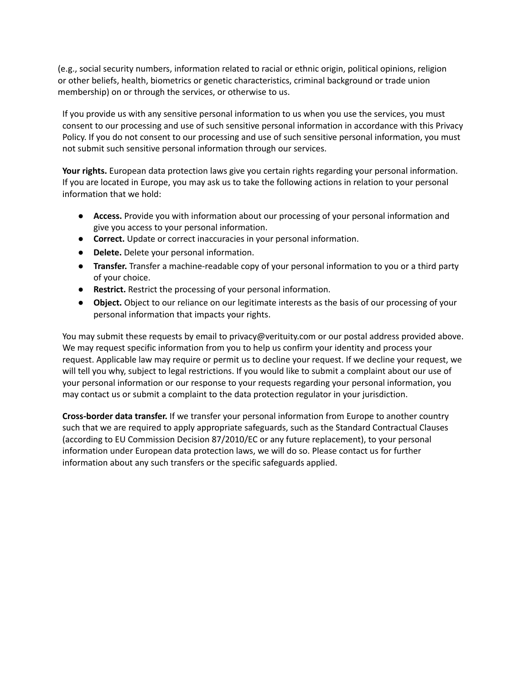(e.g., social security numbers, information related to racial or ethnic origin, political opinions, religion or other beliefs, health, biometrics or genetic characteristics, criminal background or trade union membership) on or through the services, or otherwise to us.

If you provide us with any sensitive personal information to us when you use the services, you must consent to our processing and use of such sensitive personal information in accordance with this Privacy Policy. If you do not consent to our processing and use of such sensitive personal information, you must not submit such sensitive personal information through our services.

**Your rights.** European data protection laws give you certain rights regarding your personal information. If you are located in Europe, you may ask us to take the following actions in relation to your personal information that we hold:

- **Access.** Provide you with information about our processing of your personal information and give you access to your personal information.
- **Correct.** Update or correct inaccuracies in your personal information.
- **Delete.** Delete your personal information.
- **Transfer.** Transfer a machine-readable copy of your personal information to you or a third party of your choice.
- **Restrict.** Restrict the processing of your personal information.
- **Object.** Object to our reliance on our legitimate interests as the basis of our processing of your personal information that impacts your rights.

You may submit these requests by email to [privacy@verituity.com](mailto:privacy@verituity.com) or our postal address provided above. We may request specific information from you to help us confirm your identity and process your request. Applicable law may require or permit us to decline your request. If we decline your request, we will tell you why, subject to legal restrictions. If you would like to submit a complaint about our use of your personal information or our response to your requests regarding your personal information, you may contact us or submit a complaint to the data protection regulator in your jurisdiction.

**Cross-border data transfer.** If we transfer your personal information from Europe to another country such that we are required to apply appropriate safeguards, such as the Standard Contractual Clauses (according to EU Commission Decision 87/2010/EC or any future replacement), to your personal information under European data protection laws, we will do so. Please contact us for further information about any such transfers or the specific safeguards applied.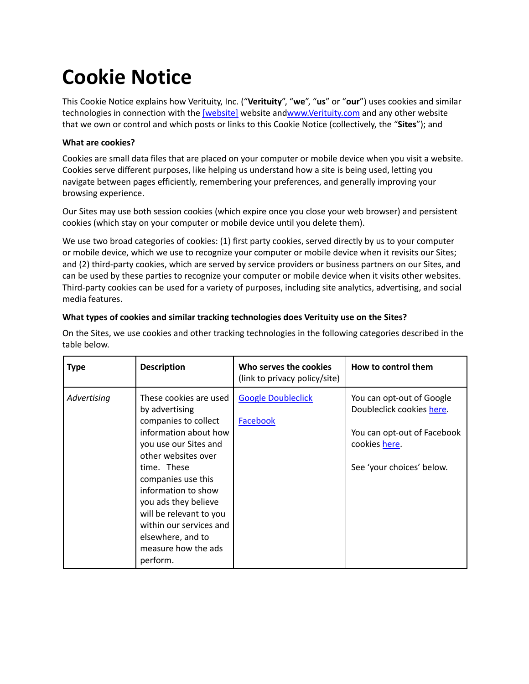# **Cookie Notice**

This Cookie Notice explains how Verituity, Inc. ("**Verituity**", "**we**", "**us**" or "**our**") uses cookies and similar technologies in connection with the [website] website an[dwww.Verituity.com](http://www.verituity.com) and any other website that we own or control and which posts or links to this Cookie Notice (collectively, the "**Sites**"); and

### **What are cookies?**

Cookies are small data files that are placed on your computer or mobile device when you visit a website. Cookies serve different purposes, like helping us understand how a site is being used, letting you navigate between pages efficiently, remembering your preferences, and generally improving your browsing experience.

Our Sites may use both session cookies (which expire once you close your web browser) and persistent cookies (which stay on your computer or mobile device until you delete them).

We use two broad categories of cookies: (1) first party cookies, served directly by us to your computer or mobile device, which we use to recognize your computer or mobile device when it revisits our Sites; and (2) third-party cookies, which are served by service providers or business partners on our Sites, and can be used by these parties to recognize your computer or mobile device when it visits other websites. Third-party cookies can be used for a variety of purposes, including site analytics, advertising, and social media features.

#### **What types of cookies and similar tracking technologies does Verituity use on the Sites?**

On the Sites, we use cookies and other tracking technologies in the following categories described in the table below.

| <b>Type</b> | <b>Description</b>                                                                                                                                                                                                                                                                                                                          | Who serves the cookies<br>(link to privacy policy/site) | How to control them                                                                                                                 |
|-------------|---------------------------------------------------------------------------------------------------------------------------------------------------------------------------------------------------------------------------------------------------------------------------------------------------------------------------------------------|---------------------------------------------------------|-------------------------------------------------------------------------------------------------------------------------------------|
| Advertising | These cookies are used<br>by advertising<br>companies to collect<br>information about how<br>you use our Sites and<br>other websites over<br>time. These<br>companies use this<br>information to show<br>you ads they believe<br>will be relevant to you<br>within our services and<br>elsewhere, and to<br>measure how the ads<br>perform. | <b>Google Doubleclick</b><br><b>Facebook</b>            | You can opt-out of Google<br>Doubleclick cookies here.<br>You can opt-out of Facebook<br>cookies here.<br>See 'your choices' below. |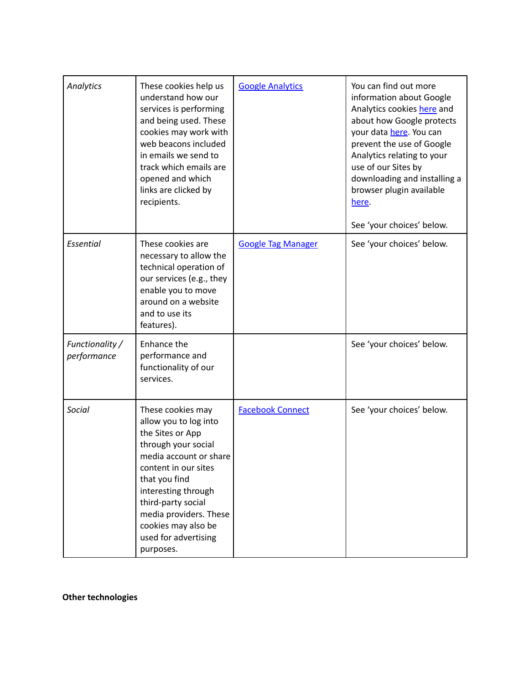| Analytics                      | These cookies help us<br>understand how our<br>services is performing<br>and being used. These<br>cookies may work with<br>web beacons included<br>in emails we send to<br>track which emails are<br>opened and which<br>links are clicked by<br>recipients.                                | <b>Google Analytics</b>   | You can find out more<br>information about Google<br>Analytics cookies here and<br>about how Google protects<br>your data here. You can<br>prevent the use of Google<br>Analytics relating to your<br>use of our Sites by<br>downloading and installing a<br>browser plugin available<br>here.<br>See 'your choices' below. |
|--------------------------------|---------------------------------------------------------------------------------------------------------------------------------------------------------------------------------------------------------------------------------------------------------------------------------------------|---------------------------|-----------------------------------------------------------------------------------------------------------------------------------------------------------------------------------------------------------------------------------------------------------------------------------------------------------------------------|
| Essential                      | These cookies are<br>necessary to allow the<br>technical operation of<br>our services (e.g., they<br>enable you to move<br>around on a website<br>and to use its<br>features).                                                                                                              | <b>Google Tag Manager</b> | See 'your choices' below.                                                                                                                                                                                                                                                                                                   |
| Functionality /<br>performance | Enhance the<br>performance and<br>functionality of our<br>services.                                                                                                                                                                                                                         |                           | See 'your choices' below.                                                                                                                                                                                                                                                                                                   |
| Social                         | These cookies may<br>allow you to log into<br>the Sites or App<br>through your social<br>media account or share<br>content in our sites<br>that you find<br>interesting through<br>third-party social<br>media providers. These<br>cookies may also be<br>used for advertising<br>purposes. | <b>Facebook Connect</b>   | See 'your choices' below.                                                                                                                                                                                                                                                                                                   |

**Other technologies**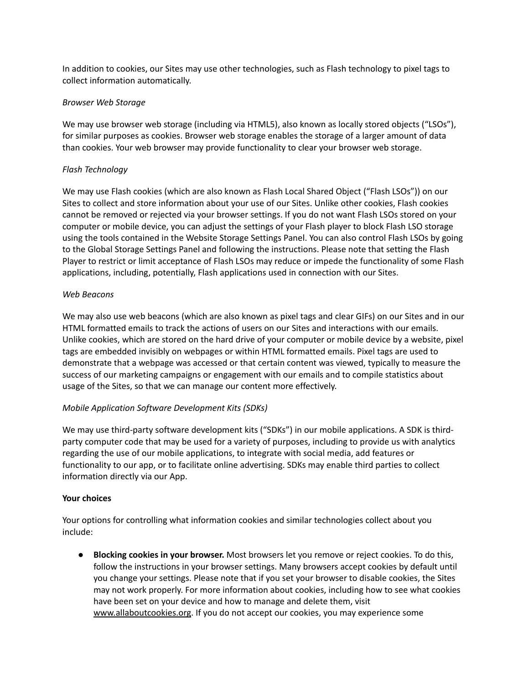In addition to cookies, our Sites may use other technologies, such as Flash technology to pixel tags to collect information automatically.

#### *Browser Web Storage*

We may use browser web storage (including via HTML5), also known as locally stored objects ("LSOs"), for similar purposes as cookies. Browser web storage enables the storage of a larger amount of data than cookies. Your web browser may provide functionality to clear your browser web storage.

#### *Flash Technology*

We may use Flash cookies (which are also known as Flash Local Shared Object ("Flash LSOs")) on our Sites to collect and store information about your use of our Sites. Unlike other cookies, Flash cookies cannot be removed or rejected via your browser settings. If you do not want Flash LSOs stored on your computer or mobile device, you can adjust the settings of your Flash player to block Flash LSO storage using the tools contained in the Website Storage Settings Panel. You can also control Flash LSOs by going to the Global Storage Settings Panel and following the instructions. Please note that setting the Flash Player to restrict or limit acceptance of Flash LSOs may reduce or impede the functionality of some Flash applications, including, potentially, Flash applications used in connection with our Sites.

#### *Web Beacons*

We may also use web beacons (which are also known as pixel tags and clear GIFs) on our Sites and in our HTML formatted emails to track the actions of users on our Sites and interactions with our emails. Unlike cookies, which are stored on the hard drive of your computer or mobile device by a website, pixel tags are embedded invisibly on webpages or within HTML formatted emails. Pixel tags are used to demonstrate that a webpage was accessed or that certain content was viewed, typically to measure the success of our marketing campaigns or engagement with our emails and to compile statistics about usage of the Sites, so that we can manage our content more effectively.

#### *Mobile Application Software Development Kits (SDKs)*

We may use third-party software development kits ("SDKs") in our mobile applications. A SDK is thirdparty computer code that may be used for a variety of purposes, including to provide us with analytics regarding the use of our mobile applications, to integrate with social media, add features or functionality to our app, or to facilitate online advertising. SDKs may enable third parties to collect information directly via our App.

#### **Your choices**

Your options for controlling what information cookies and similar technologies collect about you include:

● **Blocking cookies in your browser.** Most browsers let you remove or reject cookies. To do this, follow the instructions in your browser settings. Many browsers accept cookies by default until you change your settings. Please note that if you set your browser to disable cookies, the Sites may not work properly. For more information about cookies, including how to see what cookies have been set on your device and how to manage and delete them, visit [www.allaboutcookies.org.](http://www.allaboutcookies.org/) If you do not accept our cookies, you may experience some